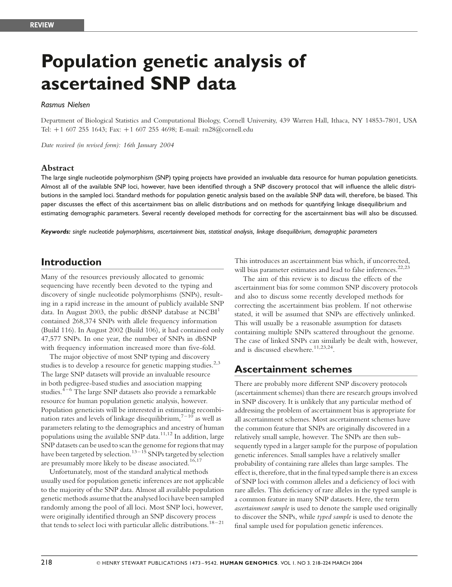# Population genetic analysis of ascertained SNP data

## Rasmus Nielsen

Department of Biological Statistics and Computational Biology, Cornell University, 439 Warren Hall, Ithaca, NY 14853-7801, USA Tel: +1 607 255 1643; Fax: +1 607 255 4698; E-mail: rn28@cornell.edu

Date received (in revised form): 16th January 2004

#### Abstract

The large single nucleotide polymorphism (SNP) typing projects have provided an invaluable data resource for human population geneticists. Almost all of the available SNP loci, however, have been identified through a SNP discovery protocol that will influence the allelic distributions in the sampled loci. Standard methods for population genetic analysis based on the available SNP data will, therefore, be biased. This paper discusses the effect of this ascertainment bias on allelic distributions and on methods for quantifying linkage disequilibrium and estimating demographic parameters. Several recently developed methods for correcting for the ascertainment bias will also be discussed.

Keywords: single nucleotide polymorphisms, ascertainment bias, statistical analysis, linkage disequilibrium, demographic parameters

# Introduction

Many of the resources previously allocated to genomic sequencing have recently been devoted to the typing and discovery of single nucleotide polymorphisms (SNPs), resulting in a rapid increase in the amount of publicly available SNP data. In August 2003, the public dbSNP database at  $NCBI<sup>1</sup>$ contained 268,374 SNPs with allele frequency information (Build 116). In August 2002 (Build 106), it had contained only 47,577 SNPs. In one year, the number of SNPs in dbSNP with frequency information increased more than five-fold.

The major objective of most SNP typing and discovery studies is to develop a resource for genetic mapping studies.<sup>2,3</sup> The large SNP datasets will provide an invaluable resource in both pedigree-based studies and association mapping studies. $4-6$  The large SNP datasets also provide a remarkable resource for human population genetic analysis, however. Population geneticists will be interested in estimating recombination rates and levels of linkage disequilibrium,  $7-10$  as well as parameters relating to the demographics and ancestry of human populations using the available SNP data.<sup>11,12</sup> In addition, large SNP datasets can be used to scan the genome for regions that may have been targeted by selection.<sup>13–15</sup> SNPs targeted by selection are presumably more likely to be disease associated.<sup>16,17</sup>

Unfortunately, most of the standard analytical methods usually used for population genetic inferences are not applicable to the majority of the SNP data. Almost all available population genetic methods assume that the analysed loci have been sampled randomly among the pool of all loci. Most SNP loci, however, were originally identified through an SNP discovery process that tends to select loci with particular allelic distributions.18–21

This introduces an ascertainment bias which, if uncorrected, will bias parameter estimates and lead to false inferences.<sup>22,23</sup>

The aim of this review is to discuss the effects of the ascertainment bias for some common SNP discovery protocols and also to discuss some recently developed methods for correcting the ascertainment bias problem. If not otherwise stated, it will be assumed that SNPs are effectively unlinked. This will usually be a reasonable assumption for datasets containing multiple SNPs scattered throughout the genome. The case of linked SNPs can similarly be dealt with, however, and is discussed elsewhere.<sup>11,23,24</sup>

# Ascertainment schemes

There are probably more different SNP discovery protocols (ascertainment schemes) than there are research groups involved in SNP discovery. It is unlikely that any particular method of addressing the problem of ascertainment bias is appropriate for all ascertainment schemes. Most ascertainment schemes have the common feature that SNPs are originally discovered in a relatively small sample, however. The SNPs are then subsequently typed in a larger sample for the purpose of population genetic inferences. Small samples have a relatively smaller probability of containing rare alleles than large samples. The effect is, therefore, that in the final typed sample there is an excess of SNP loci with common alleles and a deficiency of loci with rare alleles. This deficiency of rare alleles in the typed sample is a common feature in many SNP datasets. Here, the term ascertainment sample is used to denote the sample used originally to discover the SNPs, while typed sample is used to denote the final sample used for population genetic inferences.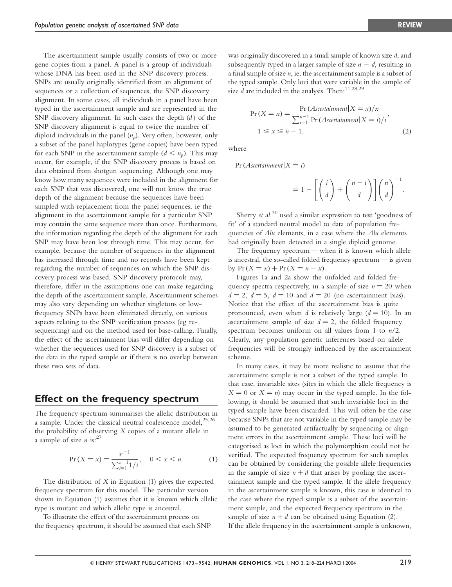The ascertainment sample usually consists of two or more gene copies from a panel. A panel is a group of individuals whose DNA has been used in the SNP discovery process. SNPs are usually originally identified from an alignment of sequences or a collection of sequences, the SNP discovery alignment. In some cases, all individuals in a panel have been typed in the ascertainment sample and are represented in the SNP discovery alignment. In such cases the depth  $(d)$  of the SNP discovery alignment is equal to twice the number of diploid individuals in the panel  $(n_n)$ . Very often, however, only a subset of the panel haplotypes (gene copies) have been typed for each SNP in the ascertainment sample  $(d < n_p)$ . This may occur, for example, if the SNP discovery process is based on data obtained from shotgun sequencing. Although one may know how many sequences were included in the alignment for each SNP that was discovered, one will not know the true depth of the alignment because the sequences have been sampled with replacement from the panel sequences, ie the alignment in the ascertainment sample for a particular SNP may contain the same sequence more than once. Furthermore, the information regarding the depth of the alignment for each SNP may have been lost through time. This may occur, for example, because the number of sequences in the alignment has increased through time and no records have been kept regarding the number of sequences on which the SNP discovery process was based. SNP discovery protocols may, therefore, differ in the assumptions one can make regarding the depth of the ascertainment sample. Ascertainment schemes may also vary depending on whether singletons or lowfrequency SNPs have been eliminated directly, on various aspects relating to the SNP verification process (eg resequencing) and on the method used for base-calling. Finally, the effect of the ascertainment bias will differ depending on whether the sequences used for SNP discovery is a subset of the data in the typed sample or if there is no overlap between these two sets of data.

## Effect on the frequency spectrum

The frequency spectrum summarises the allelic distribution in a sample. Under the classical neutral coalescence model,<sup>25,26</sup> the probability of observing X copies of a mutant allele in a sample of size *n* is:<sup>27</sup>

$$
\Pr(X = x) = \frac{x^{-1}}{\sum_{i=1}^{n-1} 1/i}, \quad 0 < x < n. \tag{1}
$$

The distribution of  $X$  in Equation (1) gives the expected frequency spectrum for this model. The particular version shown in Equation (1) assumes that it is known which allelic type is mutant and which allelic type is ancestral.

To illustrate the effect of the ascertainment process on the frequency spectrum, it should be assumed that each SNP

was originally discovered in a small sample of known size d, and subsequently typed in a larger sample of size  $n - d$ , resulting in a final sample of size  $n$ , ie, the ascertainment sample is a subset of the typed sample. Only loci that were variable in the sample of size  $d$  are included in the analysis. Then:  $11,28,29$ 

$$
Pr(X = x) = \frac{Pr(A \text{secret} | X = x) / x}{\sum_{i=1}^{n-1} Pr(A \text{secret} i) / i},
$$
  
1 \le x \le n - 1, (2)

where

 $Pr(Aset$ ainment $|X = i)$ 

$$
=1-\left[\binom{i}{d}+\binom{n-i}{d}\right]\binom{n}{d}^{-1}.
$$

Sherry *et al.*<sup>30</sup> used a similar expression to test 'goodness of fit' of a standard neutral model to data of population frequencies of Alu elements, in a case where the Alu elements had originally been detected in a single diploid genome.

The frequency spectrum — when it is known which allele is ancestral, the so-called folded frequency spectrum — is given by  $Pr(X = x) + Pr(X = n - x)$ .

Figures 1a and 2a show the unfolded and folded frequency spectra respectively, in a sample of size  $n = 20$  when  $d = 2$ ,  $d = 5$ ,  $d = 10$  and  $d = 20$  (no ascertainment bias). Notice that the effect of the ascertainment bias is quite pronounced, even when d is relatively large  $(d = 10)$ . In an ascertainment sample of size  $d = 2$ , the folded frequency spectrum becomes uniform on all values from 1 to  $n/2$ . Clearly, any population genetic inferences based on allele frequencies will be strongly influenced by the ascertainment scheme.

In many cases, it may be more realistic to assume that the ascertainment sample is not a subset of the typed sample. In that case, invariable sites (sites in which the allele frequency is  $X = 0$  or  $X = n$ ) may occur in the typed sample. In the following, it should be assumed that such invariable loci in the typed sample have been discarded. This will often be the case because SNPs that are not variable in the typed sample may be assumed to be generated artifactually by sequencing or alignment errors in the ascertainment sample. These loci will be categorised as loci in which the polymorphism could not be verified. The expected frequency spectrum for such samples can be obtained by considering the possible allele frequencies in the sample of size  $n + d$  that arises by pooling the ascertainment sample and the typed sample. If the allele frequency in the ascertainment sample is known, this case is identical to the case where the typed sample is a subset of the ascertainment sample, and the expected frequency spectrum in the sample of size  $n + d$  can be obtained using Equation (2). If the allele frequency in the ascertainment sample is unknown,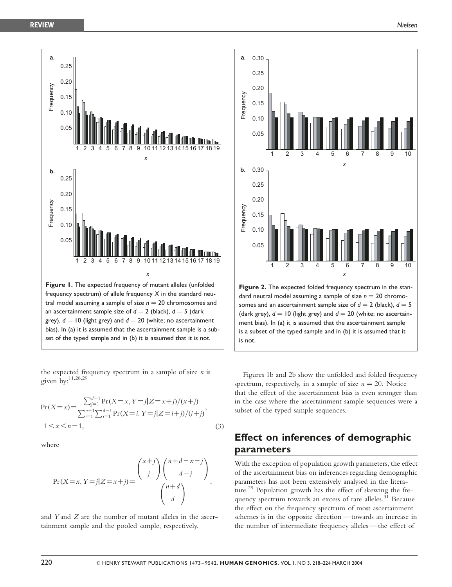

the expected frequency spectrum in a sample of size  $n$  is given by:11,28,29

$$
\Pr(X = x) = \frac{\sum_{j=1}^{d-1} \Pr(X = x, Y = j | Z = x + j) / (x + j)}{\sum_{i=1}^{n-1} \sum_{j=1}^{d-1} \Pr(X = i, Y = j | Z = i + j) / (i + j)},
$$
  
1 < x < n - 1, (3)

where

$$
\Pr(X = x, Y = j | Z = x + j) = \frac{\binom{x+j}{j} \binom{n+d-x-j}{d-j}}{\binom{n+d}{d}},
$$

and Y and Z are the number of mutant alleles in the ascertainment sample and the pooled sample, respectively.



Figure 2. The expected folded frequency spectrum in the standard neutral model assuming a sample of size  $n = 20$  chromosomes and an ascertainment sample size of  $d = 2$  (black),  $d = 5$ (dark grey),  $d = 10$  (light grey) and  $d = 20$  (white; no ascertainment bias). In (a) it is assumed that the ascertainment sample is a subset of the typed sample and in (b) it is assumed that it is not.

Figures 1b and 2b show the unfolded and folded frequency spectrum, respectively, in a sample of size  $n = 20$ . Notice that the effect of the ascertainment bias is even stronger than in the case where the ascertainment sample sequences were a subset of the typed sample sequences.

# Effect on inferences of demographic parameters

With the exception of population growth parameters, the effect of the ascertainment bias on inferences regarding demographic parameters has not been extensively analysed in the literature.<sup>29</sup> Population growth has the effect of skewing the frequency spectrum towards an excess of rare alleles.<sup>31</sup> Because the effect on the frequency spectrum of most ascertainment schemes is in the opposite direction — towards an increase in the number of intermediate frequency alleles — the effect of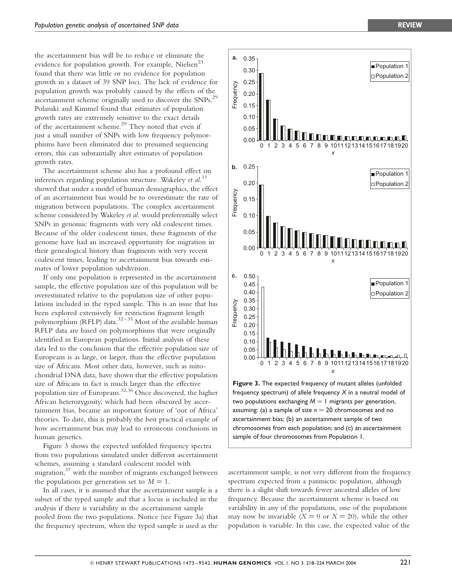the ascertainment bias will be to reduce or eliminate the evidence for population growth. For example, Nielsen<sup>23</sup> found that there was little or no evidence for population growth in a dataset of 39 SNP loci. The lack of evidence for population growth was probably caused by the effects of the ascertainment scheme originally used to discover the  $SNPs$ <sup>29</sup> Polanski and Kimmel found that estimates of population growth rates are extremely sensitive to the exact details of the ascertainment scheme.<sup>29</sup> They noted that even if just a small number of SNPs with low frequency polymorphisms have been eliminated due to presumed sequencing errors, this can substantially alter estimates of population growth rates.

The ascertainment scheme also has a profound effect on inferences regarding population structure. Wakeley *et al.*<sup>11</sup> showed that under a model of human demographics, the effect of an ascertainment bias would be to overestimate the rate of migration between populations. The complex ascertainment scheme considered by Wakeley et al. would preferentially select SNPs in genomic fragments with very old coalescent times. Because of the older coalescent times, these fragments of the genome have had an increased opportunity for migration in their genealogical history than fragments with very recent coalescent times, leading to ascertainment bias towards estimates of lower population subdivision.

If only one population is represented in the ascertainment sample, the effective population size of this population will be overestimated relative to the population size of other populations included in the typed sample. This is an issue that has been explored extensively for restriction fragment length polymorphism (RFLP) data. $32-35$  Most of the available human RFLP data are based on polymorphisms that were originally identified in European populations. Initial analysis of these data led to the conclusion that the effective population size of Europeans is as large, or larger, than the effective population size of Africans. Most other data, however, such as mitochondrial DNA data, have shown that the effective population size of Africans in fact is much larger than the effective population size of Europeans.<sup>32,36</sup> Once discovered, the higher African heterozygosity, which had been obscured by ascertainment bias, became an important feature of 'out of Africa' theories. To date, this is probably the best practical example of how ascertainment bias may lead to erroneous conclusions in human genetics.

Figure 3 shows the expected unfolded frequency spectra from two populations simulated under different ascertainment schemes, assuming a standard coalescent model with migration, $37$  with the number of migrants exchanged between the populations per generation set to  $M = 1$ .

In all cases, it is assumed that the ascertainment sample is a subset of the typed sample and that a locus is included in the analysis if there is variability in the ascertainment sample pooled from the two populations. Notice (see Figure 3a) that the frequency spectrum, when the typed sample is used as the



0.35

a.

ascertainment sample, is not very different from the frequency spectrum expected from a panmictic population, although there is a slight shift towards fewer ancestral alleles of low frequency. Because the ascertainment scheme is based on variability in any of the populations, one of the populations may now be invariable  $(X = 0 \text{ or } X = 20)$ , while the other population is variable. In this case, the expected value of the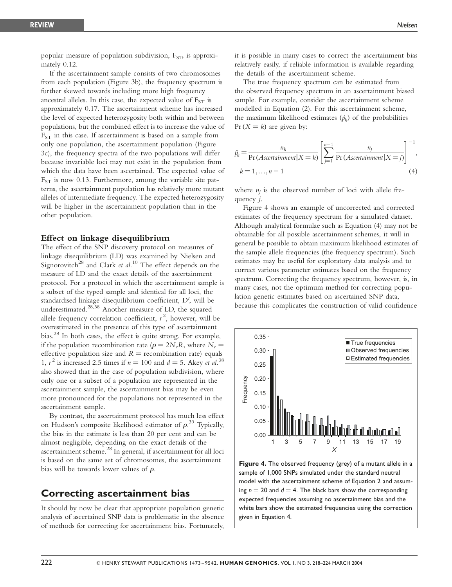popular measure of population subdivision,  $F_{ST}$ , is approximately 0.12.

If the ascertainment sample consists of two chromosomes from each population (Figure 3b), the frequency spectrum is further skewed towards including more high frequency ancestral alleles. In this case, the expected value of  $F_{ST}$  is approximately 0.17. The ascertainment scheme has increased the level of expected heterozygosity both within and between populations, but the combined effect is to increase the value of  $F_{ST}$  in this case. If ascertainment is based on a sample from only one population, the ascertainment population (Figure 3c), the frequency spectra of the two populations will differ because invariable loci may not exist in the population from which the data have been ascertained. The expected value of  $F_{ST}$  is now 0.13. Furthermore, among the variable site patterns, the ascertainment population has relatively more mutant alleles of intermediate frequency. The expected heterozygosity will be higher in the ascertainment population than in the other population.

### Effect on linkage disequilibrium

The effect of the SNP discovery protocol on measures of linkage disequilibrium (LD) was examined by Nielsen and Signorovitch<sup>28</sup> and Clark *et al.*<sup>10</sup> The effect depends on the measure of LD and the exact details of the ascertainment protocol. For a protocol in which the ascertainment sample is a subset of the typed sample and identical for all loci, the standardised linkage disequilibrium coefficient, D', will be underestimated. $^{28,38}$  Another measure of LD, the squared allele frequency correlation coefficient,  $r^2$ , however, will be overestimated in the presence of this type of ascertainment bias.<sup>28</sup> In both cases, the effect is quite strong. For example, if the population recombination rate ( $\rho = 2N_eR$ , where  $N_e =$ effective population size and  $R =$  recombination rate) equals 1,  $r^2$  is increased 2.5 times if  $n = 100$  and  $d = 5$ . Akey *et al.*<sup>38</sup> also showed that in the case of population subdivision, where only one or a subset of a population are represented in the ascertainment sample, the ascertainment bias may be even more pronounced for the populations not represented in the ascertainment sample.

By contrast, the ascertainment protocol has much less effect on Hudson's composite likelihood estimator of  $\rho$ .<sup>39</sup> Typically, the bias in the estimate is less than 20 per cent and can be almost negligible, depending on the exact details of the ascertainment scheme. $^{28}$  In general, if ascertainment for all loci is based on the same set of chromosomes, the ascertainment bias will be towards lower values of  $\rho$ .

## Correcting ascertainment bias

It should by now be clear that appropriate population genetic analysis of ascertained SNP data is problematic in the absence of methods for correcting for ascertainment bias. Fortunately, it is possible in many cases to correct the ascertainment bias relatively easily, if reliable information is available regarding the details of the ascertainment scheme.

The true frequency spectrum can be estimated from the observed frequency spectrum in an ascertainment biased sample. For example, consider the ascertainment scheme modelled in Equation (2). For this ascertainment scheme, the maximum likelihood estimates  $(\hat{p}_k)$  of the probabilities  $Pr(X = k)$  are given by:

$$
\hat{p}_k = \frac{n_k}{\Pr(A \text{scertainment}|X=k)} \left[ \sum_{j=1}^{n-1} \frac{n_j}{\Pr(A \text{scertainment}|X=j)} \right]^{-1},
$$
\n
$$
k = 1, \dots, n-1 \tag{4}
$$

where  $n_i$  is the observed number of loci with allele frequency j.

Figure 4 shows an example of uncorrected and corrected estimates of the frequency spectrum for a simulated dataset. Although analytical formulae such as Equation (4) may not be obtainable for all possible ascertainment schemes, it will in general be possible to obtain maximum likelihood estimates of the sample allele frequencies (the frequency spectrum). Such estimates may be useful for exploratory data analysis and to correct various parameter estimates based on the frequency spectrum. Correcting the frequency spectrum, however, is, in many cases, not the optimum method for correcting population genetic estimates based on ascertained SNP data, because this complicates the construction of valid confidence



Figure 4. The observed frequency (grey) of a mutant allele in a sample of 1,000 SNPs simulated under the standard neutral model with the ascertainment scheme of Equation 2 and assuming  $n = 20$  and  $d = 4$ . The black bars show the corresponding expected frequencies assuming no ascertainment bias and the white bars show the estimated frequencies using the correction given in Equation 4.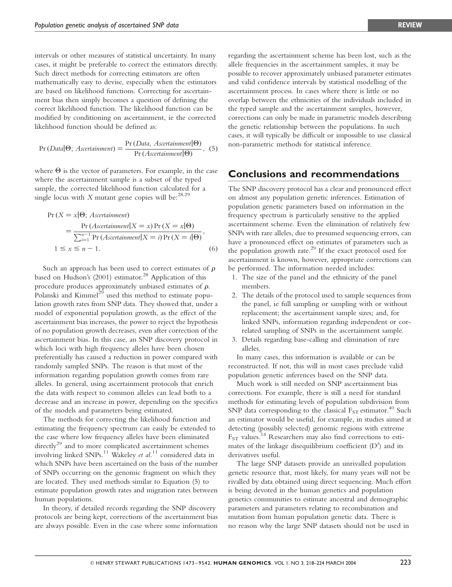intervals or other measures of statistical uncertainty. In many cases, it might be preferable to correct the estimators directly. Such direct methods for correcting estimators are often mathematically easy to devise, especially when the estimators are based on likelihood functions. Correcting for ascertainment bias then simply becomes a question of defining the correct likelihood function. The likelihood function can be modified by conditioning on ascertainment, ie the corrected likelihood function should be defined as:

$$
Pr(Data | \Theta; \text{Ascertainment}) = \frac{Pr(Data, \text{Ascertainment} | \Theta)}{Pr(Ascertainment | \Theta)}, \tag{5}
$$

where  $\Theta$  is the vector of parameters. For example, in the case where the ascertainment sample is a subset of the typed sample, the corrected likelihood function calculated for a single locus with  $X$  mutant gene copies will be:<sup>28,29</sup>

$$
\Pr(X = x | \Theta; \text{A} \text{set} \text{a} \text{in} \text{m} \text{ent})
$$
\n
$$
= \frac{\Pr(\text{A} \text{set} \text{a} \text{in} \text{m} \text{ent} | X = x) \Pr(X = x | \Theta)}{\sum_{i=1}^{n-1} \Pr(\text{A} \text{set} \text{a} \text{in} \text{m} \text{ent} | X = i) \Pr(X = i | \Theta)},
$$
\n
$$
1 \le x \le n - 1. \tag{6}
$$

Such an approach has been used to correct estimates of  $\rho$ based on Hudson's  $(2001)$  estimator.<sup>28</sup> Application of this procedure produces approximately unbiased estimates of  $\rho$ . Polanski and Kimmel<sup>29</sup> used this method to estimate population growth rates from SNP data. They showed that, under a model of exponential population growth, as the effect of the ascertainment bias increases, the power to reject the hypothesis of no population growth decreases, even after correction of the ascertainment bias. In this case, an SNP discovery protocol in which loci with high frequency alleles have been chosen preferentially has caused a reduction in power compared with randomly sampled SNPs. The reason is that most of the information regarding population growth comes from rare alleles. In general, using ascertainment protocols that enrich the data with respect to common alleles can lead both to a decrease and an increase in power, depending on the specifics of the models and parameters being estimated.

The methods for correcting the likelihood function and estimating the frequency spectrum can easily be extended to the case where low frequency alleles have been eliminated  $\text{directly}^{29}$  and to more complicated ascertainment schemes involving linked SNPs.<sup>11</sup> Wakeley et al.<sup>11</sup> considered data in which SNPs have been ascertained on the basis of the number of SNPs occurring on the genomic fragment on which they are located. They used methods similar to Equation (5) to estimate population growth rates and migration rates between human populations.

In theory, if detailed records regarding the SNP discovery protocols are being kept, corrections of the ascertainment bias are always possible. Even in the case where some information regarding the ascertainment scheme has been lost, such as the allele frequencies in the ascertainment samples, it may be possible to recover approximately unbiased parameter estimates and valid confidence intervals by statistical modelling of the ascertainment process. In cases where there is little or no overlap between the ethnicities of the individuals included in the typed sample and the ascertainment samples, however, corrections can only be made in parametric models describing the genetic relationship between the populations. In such cases, it will typically be difficult or impossible to use classical non-parametric methods for statistical inference.

# Conclusions and recommendations

The SNP discovery protocol has a clear and pronounced effect on almost any population genetic inferences. Estimation of population genetic parameters based on information in the frequency spectrum is particularly sensitive to the applied ascertainment scheme. Even the elimination of relatively few SNPs with rare alleles, due to presumed sequencing errors, can have a pronounced effect on estimates of parameters such as the population growth rate.<sup>29</sup> If the exact protocol used for ascertainment is known, however, appropriate corrections can be performed. The information needed includes:

- 1. The size of the panel and the ethnicity of the panel members.
- 2. The details of the protocol used to sample sequences from the panel, ie full sampling or sampling with or without replacement; the ascertainment sample sizes; and, for linked SNPs, information regarding independent or correlated sampling of SNPs in the ascertainment sample.
- 3. Details regarding base-calling and elimination of rare alleles.

In many cases, this information is available or can be reconstructed. If not, this will in most cases preclude valid population genetic inferences based on the SNP data.

Much work is still needed on SNP ascertainment bias corrections. For example, there is still a need for standard methods for estimating levels of population subdivision from SNP data corresponding to the classical  $F_{ST}$  estimator.<sup>40</sup> Such an estimator would be useful, for example, in studies aimed at detecting (possibly selected) genomic regions with extreme  $F_{ST}$  values.<sup>14</sup> Researchers may also find corrections to estimates of the linkage disequilibrium coefficient  $(D')$  and its derivatives useful.

The large SNP datasets provide an unrivalled population genetic resource that, most likely, for many years will not be rivalled by data obtained using direct sequencing. Much effort is being devoted in the human genetics and population genetics communities to estimate ancestral and demographic parameters and parameters relating to recombination and mutation from human population genetic data. There is no reason why the large SNP datasets should not be used in